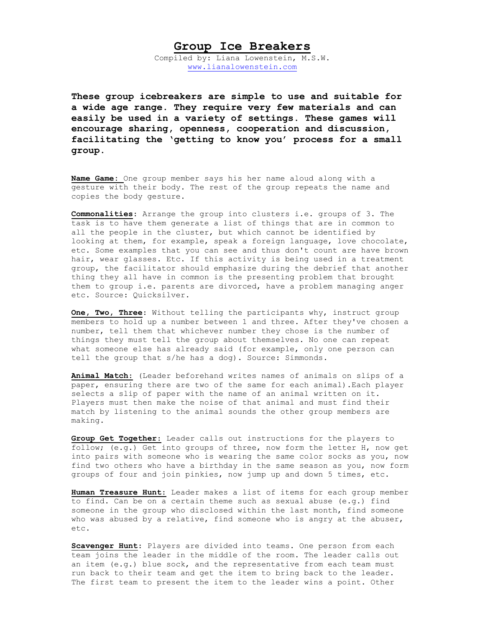## **Group Ice Breakers**

Compiled by: Liana Lowenstein, M.S.W. [www.lianalowenstein.com](http://www.lianalowenstein.com/)

**These group icebreakers are simple to use and suitable for a wide age range. They require very few materials and can easily be used in a variety of settings. These games will encourage sharing, openness, cooperation and discussion, facilitating the 'getting to know you' process for a small group.** 

**Name Game:** One group member says his her name aloud along with a gesture with their body. The rest of the group repeats the name and copies the body gesture.

**Commonalities**: Arrange the group into clusters i.e. groups of 3. The task is to have them generate a list of things that are in common to all the people in the cluster, but which cannot be identified by looking at them, for example, speak a foreign language, love chocolate, etc. Some examples that you can see and thus don't count are have brown hair, wear glasses. Etc. If this activity is being used in a treatment group, the facilitator should emphasize during the debrief that another thing they all have in common is the presenting problem that brought them to group i.e. parents are divorced, have a problem managing anger etc. Source: Quicksilver.

**One, Two, Three**: Without telling the participants why, instruct group members to hold up a number between 1 and three. After they've chosen a number, tell them that whichever number they chose is the number of things they must tell the group about themselves. No one can repeat what someone else has already said (for example, only one person can tell the group that s/he has a dog). Source: Simmonds.

**Animal Match**: (Leader beforehand writes names of animals on slips of a paper, ensuring there are two of the same for each animal).Each player selects a slip of paper with the name of an animal written on it. Players must then make the noise of that animal and must find their match by listening to the animal sounds the other group members are making.

**Group Get Together**: Leader calls out instructions for the players to follow; (e.g.) Get into groups of three, now form the letter H, now get into pairs with someone who is wearing the same color socks as you, now find two others who have a birthday in the same season as you, now form groups of four and join pinkies, now jump up and down 5 times, etc.

**Human Treasure Hunt**: Leader makes a list of items for each group member to find. Can be on a certain theme such as sexual abuse (e.g.) find someone in the group who disclosed within the last month, find someone who was abused by a relative, find someone who is angry at the abuser, etc.

**Scavenger Hunt**: Players are divided into teams. One person from each team joins the leader in the middle of the room. The leader calls out an item (e.g.) blue sock, and the representative from each team must run back to their team and get the item to bring back to the leader. The first team to present the item to the leader wins a point. Other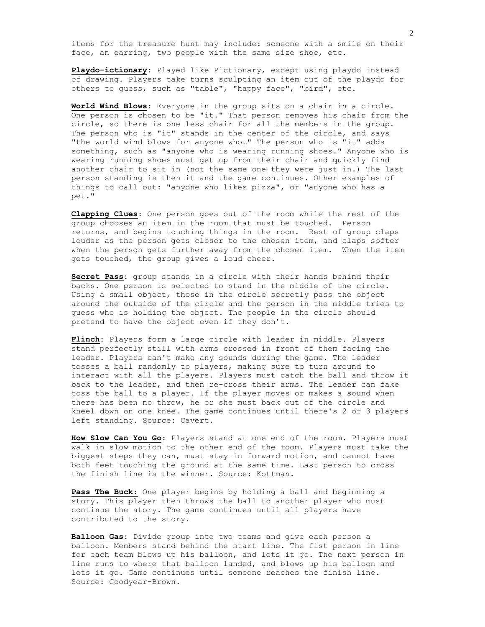items for the treasure hunt may include: someone with a smile on their face, an earring, two people with the same size shoe, etc.

**Playdo-ictionary**: Played like Pictionary, except using playdo instead of drawing. Players take turns sculpting an item out of the playdo for others to guess, such as "table", "happy face", "bird", etc.

**World Wind Blows**: Everyone in the group sits on a chair in a circle. One person is chosen to be "it." That person removes his chair from the circle, so there is one less chair for all the members in the group. The person who is "it" stands in the center of the circle, and says "the world wind blows for anyone who…" The person who is "it" adds something, such as "anyone who is wearing running shoes." Anyone who is wearing running shoes must get up from their chair and quickly find another chair to sit in (not the same one they were just in.) The last person standing is then it and the game continues. Other examples of things to call out: "anyone who likes pizza", or "anyone who has a pet."

**Clapping Clues**: One person goes out of the room while the rest of the group chooses an item in the room that must be touched. Person returns, and begins touching things in the room. Rest of group claps louder as the person gets closer to the chosen item, and claps softer when the person gets further away from the chosen item. When the item gets touched, the group gives a loud cheer.

**Secret Pass**: group stands in a circle with their hands behind their backs. One person is selected to stand in the middle of the circle. Using a small object, those in the circle secretly pass the object around the outside of the circle and the person in the middle tries to guess who is holding the object. The people in the circle should pretend to have the object even if they don't.

**Flinch**: Players form a large circle with leader in middle. Players stand perfectly still with arms crossed in front of them facing the leader. Players can't make any sounds during the game. The leader tosses a ball randomly to players, making sure to turn around to interact with all the players. Players must catch the ball and throw it back to the leader, and then re-cross their arms. The leader can fake toss the ball to a player. If the player moves or makes a sound when there has been no throw, he or she must back out of the circle and kneel down on one knee. The game continues until there's 2 or 3 players left standing. Source: Cavert.

**How Slow Can You Go**: Players stand at one end of the room. Players must walk in slow motion to the other end of the room. Players must take the biggest steps they can, must stay in forward motion, and cannot have both feet touching the ground at the same time. Last person to cross the finish line is the winner. Source: Kottman.

**Pass The Buck**: One player begins by holding a ball and beginning a story. This player then throws the ball to another player who must continue the story. The game continues until all players have contributed to the story.

**Balloon Gas**: Divide group into two teams and give each person a balloon. Members stand behind the start line. The fist person in line for each team blows up his balloon, and lets it go. The next person in line runs to where that balloon landed, and blows up his balloon and lets it go. Game continues until someone reaches the finish line. Source: Goodyear-Brown.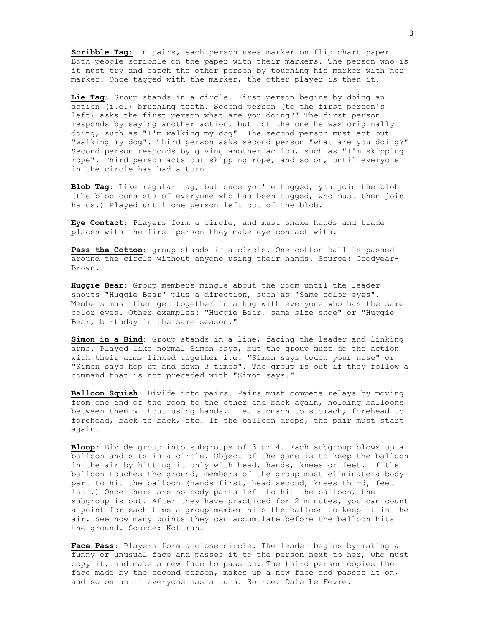**Scribble Tag:** In pairs, each person uses marker on flip chart paper. Both people scribble on the paper with their markers. The person who is it must try and catch the other person by touching his marker with her marker. Once tagged with the marker, the other player is then it.

**Lie Tag**: Group stands in a circle. First person begins by doing an action (i.e.) brushing teeth. Second person (to the first person's left) asks the first person what are you doing?" The first person responds by saying another action, but not the one he was originally doing, such as "I'm walking my dog". The second person must act out "walking my dog". Third person asks second person "what are you doing?" Second person responds by giving another action, such as "I'm skipping rope". Third person acts out skipping rope, and so on, until everyone in the circle has had a turn.

**Blob Tag**: Like regular tag, but once you're tagged, you join the blob (the blob consists of everyone who has been tagged, who must then join hands.) Played until one person left out of the blob.

**Eye Contact**: Players form a circle, and must shake hands and trade places with the first person they make eye contact with.

**Pass the Cotton**: group stands in a circle. One cotton ball is passed around the circle without anyone using their hands. Source: Goodyear-Brown.

**Huggie Bear**: Group members mingle about the room until the leader shouts "Huggie Bear" plus a direction, such as "Same color eyes". Members must then get together in a hug with everyone who has the same color eyes. Other examples: "Huggie Bear, same size shoe" or "Huggie Bear, birthday in the same season."

**Simon in a Bind**: Group stands in a line, facing the leader and linking arms. Played like normal Simon says, but the group must do the action with their arms linked together i.e. "Simon says touch your nose" or "Simon says hop up and down 3 times". The group is out if they follow a command that is not preceded with "Simon says."

**Balloon Squish**: Divide into pairs. Pairs must compete relays by moving from one end of the room to the other and back again, holding balloons between them without using hands, i.e. stomach to stomach, forehead to forehead, back to back, etc. If the balloon drops, the pair must start again.

**Bloop**: Divide group into subgroups of 3 or 4. Each subgroup blows up a balloon and sits in a circle. Object of the game is to keep the balloon in the air by hitting it only with head, hands, knees or feet. If the balloon touches the ground, members of the group must eliminate a body part to hit the balloon (hands first, head second, knees third, feet last.) Once there are no body parts left to hit the balloon, the subgroup is out. After they have practiced for 2 minutes, you can count a point for each time a group member hits the balloon to keep it in the air. See how many points they can accumulate before the balloon hits the ground. Source: Kottman.

**Face Pass**: Players form a close circle. The leader begins by making a funny or unusual face and passes it to the person next to her, who must copy it, and make a new face to pass on. The third person copies the face made by the second person, makes up a new face and passes it on, and so on until everyone has a turn. Source: Dale Le Fevre.